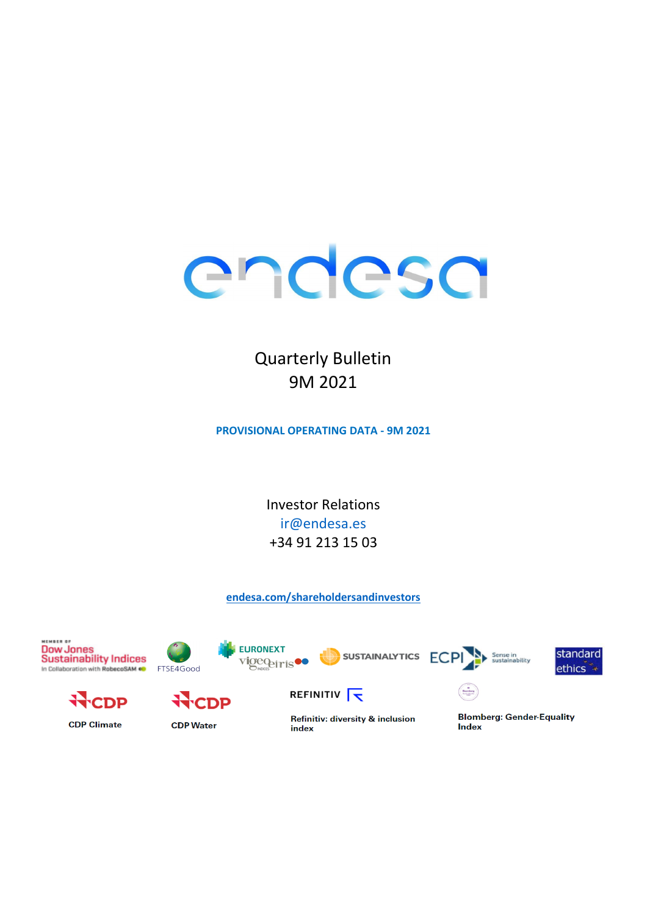

## **Quarterly Bulletin** 9M 2021

**PROVISIONAL OPERATING DATA - 9M 2021** 

**Investor Relations** ir@endesa.es +34 91 213 15 03

endesa.com/shareholdersandinvestors

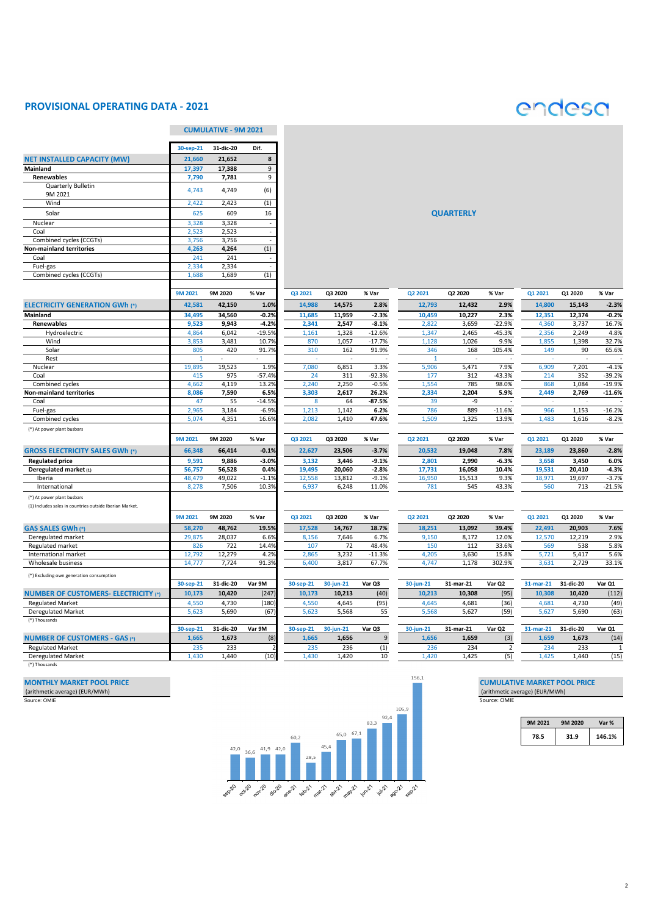#### **PROVISIONAL OPERATING DATA - 2021**



|                                                         |                | <b>CUMULATIVE - 9M 2021</b> |                   |             |              |                     |              |                  |                   |            |              |                      |
|---------------------------------------------------------|----------------|-----------------------------|-------------------|-------------|--------------|---------------------|--------------|------------------|-------------------|------------|--------------|----------------------|
|                                                         | 30-sep-21      | 31-dic-20                   | Dif.              |             |              |                     |              |                  |                   |            |              |                      |
| <b>NET INSTALLED CAPACITY (MW)</b>                      | 21,660         | 21,652                      | 8                 |             |              |                     |              |                  |                   |            |              |                      |
| <b>Mainland</b>                                         | 17,397         | 17,388                      | 9                 |             |              |                     |              |                  |                   |            |              |                      |
| <b>Renewables</b>                                       | 7,790          | 7,781                       | 9                 |             |              |                     |              |                  |                   |            |              |                      |
| <b>Quarterly Bulletin</b><br>9M 2021                    | 4,743          | 4,749                       | (6)               |             |              |                     |              |                  |                   |            |              |                      |
| Wind                                                    | 2,422          | 2,423                       | (1)               |             |              |                     |              |                  |                   |            |              |                      |
| Solar                                                   | 625            | 609                         | 16                |             |              |                     |              | <b>QUARTERLY</b> |                   |            |              |                      |
| Nuclear                                                 | 3,328          | 3,328                       |                   |             |              |                     |              |                  |                   |            |              |                      |
| Coal                                                    | 2,523          | 2,523                       |                   |             |              |                     |              |                  |                   |            |              |                      |
| Combined cycles (CCGTs)                                 | 3,756          | 3,756                       |                   |             |              |                     |              |                  |                   |            |              |                      |
| <b>Non-mainland territories</b>                         | 4,263          | 4,264                       | (1)               |             |              |                     |              |                  |                   |            |              |                      |
| Coal                                                    | 241            | 241                         |                   |             |              |                     |              |                  |                   |            |              |                      |
| Fuel-gas                                                | 2,334          | 2,334                       |                   |             |              |                     |              |                  |                   |            |              |                      |
| Combined cycles (CCGTs)                                 | 1,688          | 1,689                       | (1)               |             |              |                     |              |                  |                   |            |              |                      |
|                                                         |                |                             |                   |             |              |                     |              |                  |                   |            |              |                      |
|                                                         | <b>9M 2021</b> | 9M 2020                     | % Var             | Q3 2021     | Q3 2020      | % Var               | Q2 2021      | Q2 2020          | % Var             | Q1 2021    | Q1 2020      | % Var                |
| <b>ELECTRICITY GENERATION GWh (*)</b>                   | 42,581         | 42,150                      | 1.0%              | 14,988      | 14,575       | 2.8%                | 12,793       | 12,432           | 2.9%              | 14,800     | 15,143       | $-2.3%$              |
| <b>Mainland</b>                                         | 34,495         | 34,560                      | $-0.2%$           | 11,685      | 11,959       | $-2.3%$             | 10,459       | 10,227           | 2.3%              | 12,351     | 12,374       | $-0.2%$              |
| Renewables                                              | 9,523          | 9,943                       | $-4.2%$           | 2,341       | 2,547        | $-8.1%$             | 2,822        | 3,659            | $-22.9%$          | 4,360      | 3,737        | 16.7%                |
| Hydroelectric                                           | 4,864          | 6,042                       | $-19.5%$          | 1,161       | 1,328        | $-12.6%$            | 1,347        | 2,465            | $-45.3%$          | 2,356      | 2,249        | 4.8%                 |
| Wind                                                    | 3,853          | 3,481                       | 10.7%             | 870         | 1,057        | $-17.7%$            | 1,128        | 1,026            | 9.9%              | 1,855      | 1,398        | 32.7%                |
| Solar                                                   | 805            | 420                         | 91.7%             | 310         | 162          | 91.9%               | 346          | 168              | 105.4%            | 149        | 90           | 65.6%                |
| Rest                                                    | $\mathbf{1}$   |                             |                   |             |              |                     |              |                  |                   |            |              |                      |
| Nuclear                                                 | 19,895         | 19,523                      | 1.9%              | 7,080       | 6,851        | 3.3%                | 5,906        | 5,471            | 7.9%              | 6,909      | 7,201        | $-4.1%$              |
| Coal<br>Combined cycles                                 | 415<br>4,662   | 975<br>4,119                | $-57.4%$<br>13.2% | 24<br>2,240 | 311<br>2,250 | $-92.3%$<br>$-0.5%$ | 177<br>1,554 | 312<br>785       | $-43.3%$<br>98.0% | 214<br>868 | 352<br>1,084 | $-39.2%$<br>$-19.9%$ |
| <b>Non-mainland territories</b>                         | 8,086          | 7,590                       | 6.5%              | 3,303       | 2,617        | 26.2%               | 2,334        | 2,204            | 5.9%              | 2,449      | 2,769        | $-11.6%$             |
| Coal                                                    | 47             | 55                          | $-14.5%$          | 8           | 64           | $-87.5%$            | 39           | $-9$             |                   |            |              |                      |
| Fuel-gas                                                | 2,965          | 3,184                       | $-6.9%$           | 1,213       | 1,142        | 6.2%                | 786          | 889              | $-11.6%$          | 966        | 1,153        | $-16.2%$             |
| Combined cycles                                         | 5,074          | 4,351                       | 16.6%             | 2,082       | 1,410        | 47.6%               | 1,509        | 1,325            | 13.9%             | 1,483      | 1,616        | $-8.2%$              |
|                                                         |                |                             |                   |             |              |                     |              |                  |                   |            |              |                      |
| (*) At power plant busbars                              |                | 9M 2020                     | % Var             |             |              |                     |              |                  |                   |            |              |                      |
|                                                         | <b>9M 2021</b> |                             |                   | Q3 2021     | Q3 2020      | % Var               | Q2 2021      | Q2 2020          | % Var             | Q1 2021    | Q1 2020      | % Var                |
| <b>GROSS ELECTRICITY SALES GWh (*)</b>                  | 66,348         | 66,414                      | $-0.1%$           | 22,627      | 23,506       | $-3.7%$             | 20,532       | 19,048           | 7.8%              | 23,189     | 23,860       | $-2.8%$              |
| <b>Regulated price</b>                                  | 9,591          | 9,886                       | $-3.0%$           | 3,132       | 3,446        | $-9.1%$             | 2,801        | 2,990            | $-6.3%$           | 3,658      | 3,450        | 6.0%                 |
| Deregulated market (1)                                  | 56,757         | 56,528                      | 0.4%              | 19,495      | 20,060       | $-2.8%$             | 17,731       | 16,058           | 10.4%             | 19,531     | 20,410       | $-4.3%$              |
| Iberia                                                  | 48,479         | 49,022                      | $-1.1%$           | 12,558      | 13,812       | $-9.1%$             | 16,950       | 15,513           | 9.3%              | 18,971     | 19,697       | $-3.7%$<br>$-21.5%$  |
| International                                           | 8,278          | 7,506                       | 10.3%             | 6,937       | 6,248        | 11.0%               | 781          | 545              | 43.3%             | 560        | 713          |                      |
| (*) At power plant busbars                              |                |                             |                   |             |              |                     |              |                  |                   |            |              |                      |
| (1) Includes sales in countries outside Iberian Market. |                |                             |                   |             |              |                     |              |                  |                   |            |              |                      |
|                                                         | <b>9M 2021</b> | 9M 2020                     | % Var             | Q3 2021     | Q3 2020      | % Var               | Q2 2021      | Q2 2020          | % Var             | Q1 2021    | Q1 2020      | % Var                |
| <b>GAS SALES GWh (*)</b>                                | 58,270         | 48,762                      | 19.5%             | 17,528      | 14,767       | 18.7%               | 18,251       | 13,092           | 39.4%             | 22,491     | 20,903       | 7.6%                 |
| Deregulated market                                      | 29,875         | 28,037                      | 6.6%              | 8,156       | 7,646        | 6.7%                | 9,150        | 8,172            | 12.0%             | 12,570     | 12,219       | 2.9%                 |
| Regulated market                                        | 826            | 722                         | 14.4%             | 107         | 72           | 48.4%               | 150          | 112              | 33.6%             | 569        | 538          | 5.8%                 |
| International market                                    | 12,792         | 12,279                      | 4.2%              | 2,865       | 3,232        | $-11.3%$            | 4,205        | 3,630            | 15.8%             | 5,721      | 5,417        | 5.6%                 |
| Wholesale business                                      | 14,777         | 7,724                       | 91.3%             | 6,400       | 3,817        | 67.7%               | 4,747        | 1,178            | 302.9%            | 3,631      | 2,729        | 33.1%                |
| (*) Excluding own generation consumption                |                |                             |                   |             |              |                     |              |                  |                   |            |              |                      |
|                                                         | 30-sep-21      | 31-dic-20                   | Var 9M            | 30-sep-21   | 30-jun-21    | Var Q3              | 30-jun-21    | 31-mar-21        | Var Q2            | 31-mar-21  | 31-dic-20    | Var Q1               |
| <b>NUMBER OF CUSTOMERS- ELECTRICITY (*)</b>             | 10,173         | 10,420                      | (247)             | 10,173      | 10,213       | (40)                | 10,213       | 10,308           | (95)              | 10,308     | 10,420       | (112)                |
| <b>Regulated Market</b>                                 | 4,550          | 4,730                       | (180)             | 4,550       | 4,645        | (95)                | 4,645        | 4,681            | (36)              | 4,681      | 4,730        | (49)                 |
| <b>Deregulated Market</b>                               | 5,623          | 5,690                       | (67)              | 5,623       | 5,568        | 55                  | 5,568        | 5,627            | (59)              | 5,627      | 5,690        | (63)                 |
| (*) Thousands                                           |                |                             |                   |             |              |                     |              |                  |                   |            |              |                      |
|                                                         | 30-sep-21      | 31-dic-20                   | Var 9M            | 30-sep-21   | 30-jun-21    | Var Q3              | 30-jun-21    | 31-mar-21        | Var Q2            | 31-mar-21  | 31-dic-20    | Var Q1               |
| <b>NUMBER OF CUSTOMERS - GAS (*)</b>                    | 1,665          | 1,673                       | (8)               | 1,665       | 1,656        | 9                   | 1,656        | 1,659            | (3)               | 1,659      | 1,673        | (14)                 |
| <b>Regulated Market</b>                                 | 235            | 233                         |                   | 235         | 236          | (1)                 | 236          | 234              | $\overline{2}$    | 234        | 233          |                      |
| <b>Deregulated Market</b>                               | 1,430          | 1,440                       | (10)              | 1,430       | 1,420        | 10                  | 1,420        | 1,425            | (5)               | 1,425      | 1,440        | (15)                 |
|                                                         |                |                             |                   |             |              |                     |              |                  |                   |            |              |                      |

(\*) Thousands



| 9M 2021 | <b>9M 2020</b> | Var %  |
|---------|----------------|--------|
| 78.5    | 31.9           | 146.1% |